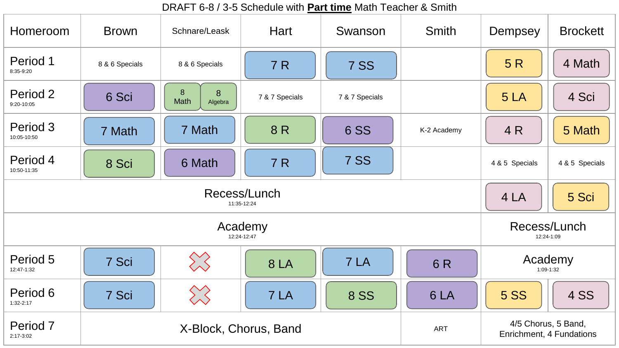DRAFT 6-8 / 3-5 Schedule with **Part time** Math Teacher & Smith

| Homeroom                    | <b>Brown</b>          | Schnare/Leask             | Hart           | Swanson        | <b>Smith</b> | Dempsey                                         | <b>Brockett</b> |
|-----------------------------|-----------------------|---------------------------|----------------|----------------|--------------|-------------------------------------------------|-----------------|
| Period 1<br>8:35-9:20       | 8 & 6 Specials        | 8 & 6 Specials            | 7 R            | <b>7 SS</b>    |              | 5R                                              | 4 Math          |
| Period 2<br>9:20-10:05      | 6 Sci                 | 8<br>8<br>Math<br>Algebra | 7 & 7 Specials | 7 & 7 Specials |              | 5LA                                             | 4 Sci           |
| Period 3<br>10:05-10:50     | 7 Math                | 7 Math                    | 8R             | <b>6 SS</b>    | K-2 Academy  | 4 R                                             | 5 Math          |
| Period 4<br>10:50-11:35     | 8 Sci                 | 6 Math                    | 7 R            | 7 SS           |              | 4 & 5 Specials                                  | 4 & 5 Specials  |
| Recess/Lunch<br>11:35-12:24 |                       |                           |                |                |              | 4 LA                                            | 5 Sci           |
| Academy<br>12:24-12:47      |                       |                           |                |                |              | Recess/Lunch<br>12:24-1:09                      |                 |
| Period 5<br>12:47-1:32      | 7 Sci                 | $\bigotimes$              | <b>8 LA</b>    | 7 LA           | 6R           | Academy<br>1:09-1:32                            |                 |
| Period 6<br>$1:32-2:17$     | 7 Sci                 | $\sum$                    | 7 LA           | <b>8 SS</b>    | 6LA          | <b>5 SS</b>                                     | <b>4 SS</b>     |
| Period 7<br>2:17-3:02       | X-Block, Chorus, Band |                           |                |                | <b>ART</b>   | 4/5 Chorus, 5 Band,<br>Enrichment, 4 Fundations |                 |